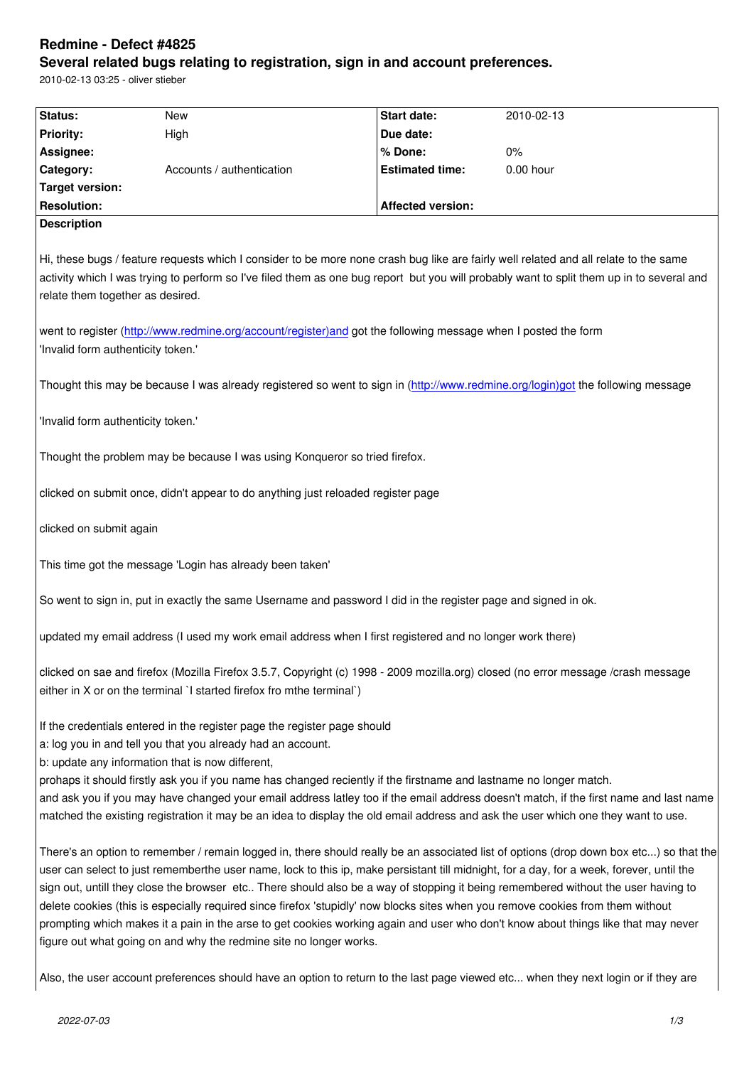#### **Several related bugs relating to registration, sign in and account preferences.**

2010-02-13 03:25 - oliver stieber

| Status:                            | <b>New</b>                                                                                                                                                                                            | <b>Start date:</b>       | 2010-02-13                                                                                                                                                                                                                                                                                                                                                                                                                                                                                                                                                   |
|------------------------------------|-------------------------------------------------------------------------------------------------------------------------------------------------------------------------------------------------------|--------------------------|--------------------------------------------------------------------------------------------------------------------------------------------------------------------------------------------------------------------------------------------------------------------------------------------------------------------------------------------------------------------------------------------------------------------------------------------------------------------------------------------------------------------------------------------------------------|
| <b>Priority:</b>                   | High                                                                                                                                                                                                  | Due date:                |                                                                                                                                                                                                                                                                                                                                                                                                                                                                                                                                                              |
| Assignee:                          |                                                                                                                                                                                                       | % Done:                  | $0\%$                                                                                                                                                                                                                                                                                                                                                                                                                                                                                                                                                        |
| Category:                          | Accounts / authentication                                                                                                                                                                             | <b>Estimated time:</b>   | 0.00 hour                                                                                                                                                                                                                                                                                                                                                                                                                                                                                                                                                    |
| <b>Target version:</b>             |                                                                                                                                                                                                       |                          |                                                                                                                                                                                                                                                                                                                                                                                                                                                                                                                                                              |
| <b>Resolution:</b>                 |                                                                                                                                                                                                       | <b>Affected version:</b> |                                                                                                                                                                                                                                                                                                                                                                                                                                                                                                                                                              |
| <b>Description</b>                 |                                                                                                                                                                                                       |                          |                                                                                                                                                                                                                                                                                                                                                                                                                                                                                                                                                              |
| relate them together as desired.   |                                                                                                                                                                                                       |                          | Hi, these bugs / feature requests which I consider to be more none crash bug like are fairly well related and all relate to the same<br>activity which I was trying to perform so I've filed them as one bug report but you will probably want to split them up in to several and                                                                                                                                                                                                                                                                            |
| 'Invalid form authenticity token.' | went to register (http://www.redmine.org/account/register)and got the following message when I posted the form                                                                                        |                          |                                                                                                                                                                                                                                                                                                                                                                                                                                                                                                                                                              |
|                                    |                                                                                                                                                                                                       |                          | Thought this may be because I was already registered so went to sign in (http://www.redmine.org/login)got the following message                                                                                                                                                                                                                                                                                                                                                                                                                              |
| 'Invalid form authenticity token.' |                                                                                                                                                                                                       |                          |                                                                                                                                                                                                                                                                                                                                                                                                                                                                                                                                                              |
|                                    | Thought the problem may be because I was using Konqueror so tried firefox.                                                                                                                            |                          |                                                                                                                                                                                                                                                                                                                                                                                                                                                                                                                                                              |
|                                    | clicked on submit once, didn't appear to do anything just reloaded register page                                                                                                                      |                          |                                                                                                                                                                                                                                                                                                                                                                                                                                                                                                                                                              |
| clicked on submit again            |                                                                                                                                                                                                       |                          |                                                                                                                                                                                                                                                                                                                                                                                                                                                                                                                                                              |
|                                    | This time got the message 'Login has already been taken'                                                                                                                                              |                          |                                                                                                                                                                                                                                                                                                                                                                                                                                                                                                                                                              |
|                                    | So went to sign in, put in exactly the same Username and password I did in the register page and signed in ok.                                                                                        |                          |                                                                                                                                                                                                                                                                                                                                                                                                                                                                                                                                                              |
|                                    | updated my email address (I used my work email address when I first registered and no longer work there)                                                                                              |                          |                                                                                                                                                                                                                                                                                                                                                                                                                                                                                                                                                              |
|                                    | either in X or on the terminal 'I started firefox fro mthe terminal')                                                                                                                                 |                          | clicked on sae and firefox (Mozilla Firefox 3.5.7, Copyright (c) 1998 - 2009 mozilla.org) closed (no error message /crash message                                                                                                                                                                                                                                                                                                                                                                                                                            |
|                                    | If the credentials entered in the register page the register page should<br>a: log you in and tell you that you already had an account.<br>b: update any information that is now different,           |                          |                                                                                                                                                                                                                                                                                                                                                                                                                                                                                                                                                              |
|                                    | prohaps it should firstly ask you if you name has changed reciently if the firstname and lastname no longer match.                                                                                    |                          | and ask you if you may have changed your email address latley too if the email address doesn't match, if the first name and last name<br>matched the existing registration it may be an idea to display the old email address and ask the user which one they want to use.                                                                                                                                                                                                                                                                                   |
|                                    | delete cookies (this is especially required since firefox 'stupidly' now blocks sites when you remove cookies from them without<br>figure out what going on and why the redmine site no longer works. |                          | There's an option to remember / remain logged in, there should really be an associated list of options (drop down box etc) so that the<br>user can select to just rememberthe user name, lock to this ip, make persistant till midnight, for a day, for a week, forever, until the<br>sign out, untill they close the browser etc There should also be a way of stopping it being remembered without the user having to<br>prompting which makes it a pain in the arse to get cookies working again and user who don't know about things like that may never |
|                                    |                                                                                                                                                                                                       |                          | Also, the user account preferences should have an option to return to the last page viewed etc when they next login or if they are                                                                                                                                                                                                                                                                                                                                                                                                                           |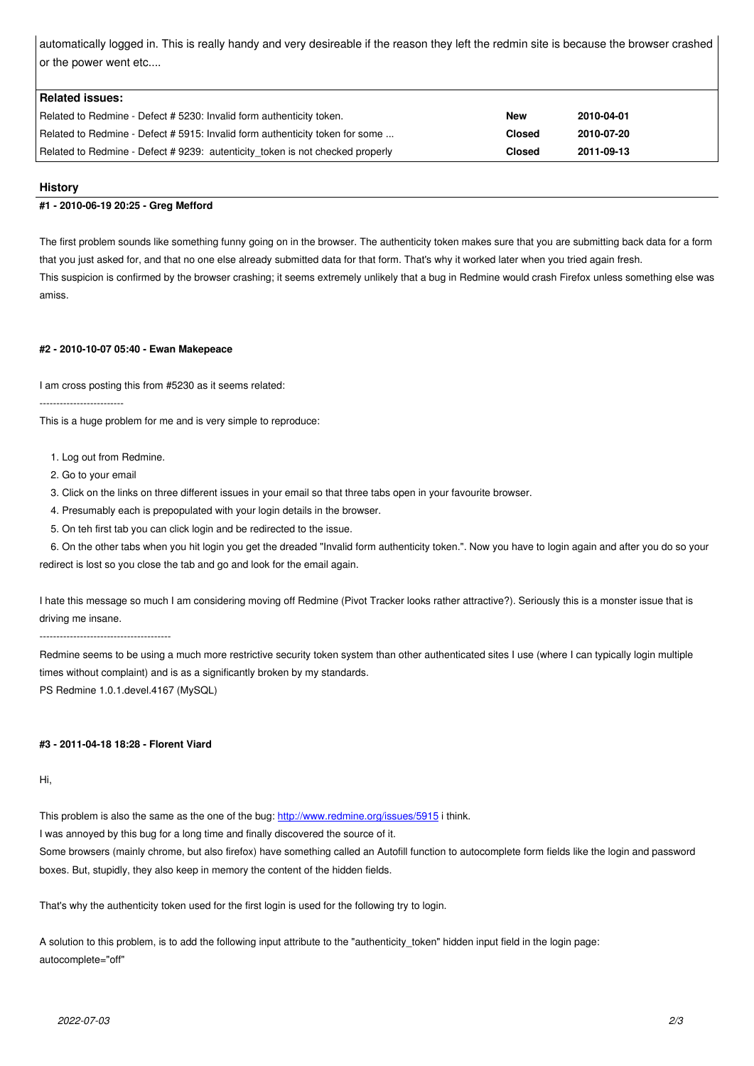or the power went etc....

| Related issues:                                                               |               |            |
|-------------------------------------------------------------------------------|---------------|------------|
| Related to Redmine - Defect # 5230: Invalid form authenticity token.          | <b>New</b>    | 2010-04-01 |
| Related to Redmine - Defect # 5915: Invalid form authenticity token for some  | <b>Closed</b> | 2010-07-20 |
| Related to Redmine - Defect # 9239: autenticity token is not checked properly | <b>Closed</b> | 2011-09-13 |

# **History**

# **#1 - 2010-06-19 20:25 - Greg Mefford**

The first problem sounds like something funny going on in the browser. The authenticity token makes sure that you are submitting back data for a form that you just asked for, and that no one else already submitted data for that form. That's why it worked later when you tried again fresh. This suspicion is confirmed by the browser crashing; it seems extremely unlikely that a bug in Redmine would crash Firefox unless something else was amiss.

### **#2 - 2010-10-07 05:40 - Ewan Makepeace**

I am cross posting this from #5230 as it seems related:

-------------------------

This is a huge problem for me and is very simple to reproduce:

- 1. Log out from Redmine.
- 2. Go to your email
- 3. Click on the links on three different issues in your email so that three tabs open in your favourite browser.
- 4. Presumably each is prepopulated with your login details in the browser.
- 5. On teh first tab you can click login and be redirected to the issue.

 6. On the other tabs when you hit login you get the dreaded "Invalid form authenticity token.". Now you have to login again and after you do so your redirect is lost so you close the tab and go and look for the email again.

I hate this message so much I am considering moving off Redmine (Pivot Tracker looks rather attractive?). Seriously this is a monster issue that is driving me insane.

---------------------------------------

Redmine seems to be using a much more restrictive security token system than other authenticated sites I use (where I can typically login multiple times without complaint) and is as a significantly broken by my standards. PS Redmine 1.0.1.devel.4167 (MySQL)

# **#3 - 2011-04-18 18:28 - Florent Viard**

Hi,

This problem is also the same as the one of the bug: http://www.redmine.org/issues/5915 i think.

I was annoyed by this bug for a long time and finally discovered the source of it.

Some browsers (mainly chrome, but also firefox) have something called an Autofill function to autocomplete form fields like the login and password boxes. But, stupidly, they also keep in memory the c[ontent of the hidden fields.](http://www.redmine.org/issues/5915)

That's why the authenticity token used for the first login is used for the following try to login.

A solution to this problem, is to add the following input attribute to the "authenticity\_token" hidden input field in the login page: autocomplete="off"